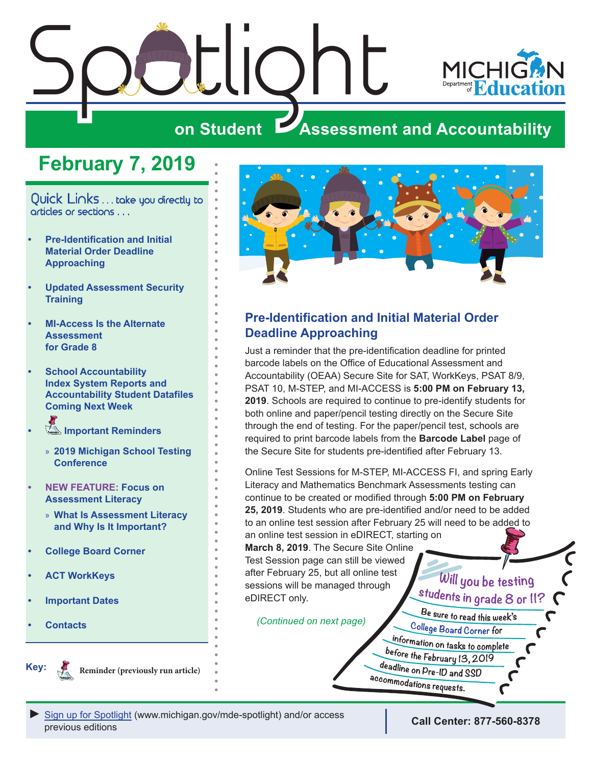

## **February 7, 2019**

<span id="page-0-0"></span>Quick Links . . . take you directly to articles or sections . . .

- **• Pre-Identification and Initial Material Order Deadline Approaching**
- **• [Updated Assessment Security](#page-1-0)  [Training](#page-1-0)**
- **• [MI-Access Is the Alternate](#page-1-0)  [Assessment](#page-1-0)  [for Grade 8](#page-1-0)**
- **• [School Accountability](#page-2-0)  [Index System Reports and](#page-2-0)  [Accountability Student Datafiles](#page-2-0)  [Coming Next Week](#page-2-0)**
- **Important Reminders** 
	- » **[2019 Michigan School Testing](#page-3-0)  [Conference](#page-3-0)**
- **• [NEW FEATURE: Focus on](#page-4-0)  [Assessment Literacy](#page-4-0)**
	- » **[What Is Assessment Literacy](#page-4-0)  [and Why Is It Important?](#page-4-0)**
- **• [College Board Corner](#page-5-0)**
- **• [ACT WorkKeys](#page-6-0)**
- **• [Important Dates](#page-7-0)**
- **• [Contacts](#page-9-0)**



**Reminder (previously run article)**



#### **Pre-Identification and Initial Material Order Deadline Approaching**

Just a reminder that the pre-identification deadline for printed barcode labels on the Office of Educational Assessment and Accountability (OEAA) Secure Site for SAT, WorkKeys, PSAT 8/9, PSAT 10, M-STEP, and MI-ACCESS is **5:00 PM on February 13, 2019**. Schools are required to continue to pre-identify students for both online and paper/pencil testing directly on the Secure Site through the end of testing. For the paper/pencil test, schools are required to print barcode labels from the **Barcode Label** page of the Secure Site for students pre-identified after February 13.

Online Test Sessions for M-STEP, MI-ACCESS FI, and spring Early Literacy and Mathematics Benchmark Assessments testing can continue to be created or modified through **5:00 PM on February 25, 2019**. Students who are pre-identified and/or need to be added to an online test session after February 25 will need to be added to an online test session in eDIRECT, starting on

**March 8, 2019**. The Secure Site Online Test Session page can still be viewed after February 25, but all online test sessions will be managed through eDIRECT only.

*(Continued on next page)*

*►* [Sign up for Spotlight](https://public.govdelivery.com/accounts/MIMDE/subscriber/new) [\(www.michigan.gov/mde](www.michigan.gov/mde-spotlight)-spotlight) and/or access previous editions **Call Center: 877-560-8378**

Will you be testing students in grade 8 or 11?

Be sure to read this week's College Board Corner for information on tasks to complete before the February 13, 2019 deadline on Pre-ID and SSD accommodations requests.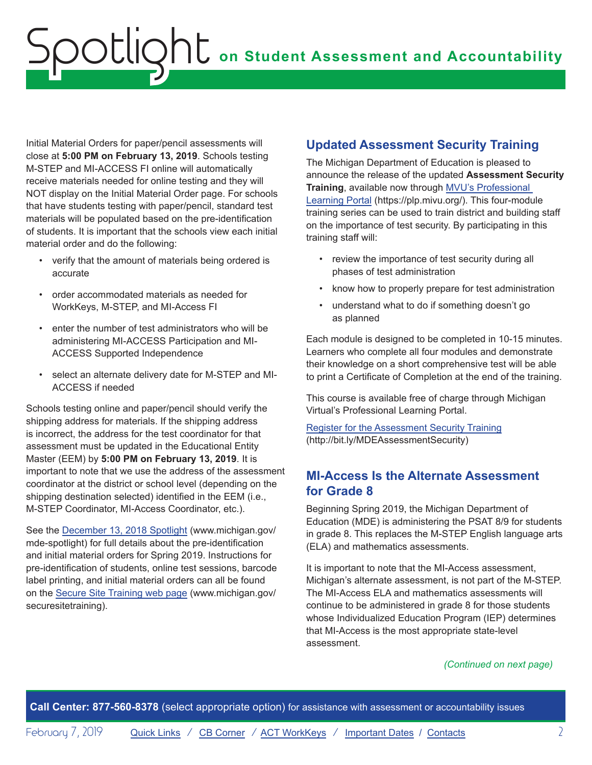<span id="page-1-0"></span>Initial Material Orders for paper/pencil assessments will close at **5:00 PM on February 13, 2019**. Schools testing M-STEP and MI-ACCESS FI online will automatically receive materials needed for online testing and they will NOT display on the Initial Material Order page. For schools that have students testing with paper/pencil, standard test materials will be populated based on the pre-identification of students. It is important that the schools view each initial material order and do the following:

- verify that the amount of materials being ordered is accurate
- order accommodated materials as needed for WorkKeys, M-STEP, and MI-Access FI
- enter the number of test administrators who will be administering MI-ACCESS Participation and MI-ACCESS Supported Independence
- select an alternate delivery date for M-STEP and MI-ACCESS if needed

Schools testing online and paper/pencil should verify the shipping address for materials. If the shipping address is incorrect, the address for the test coordinator for that assessment must be updated in the Educational Entity Master (EEM) by **5:00 PM on February 13, 2019**. It is important to note that we use the address of the assessment coordinator at the district or school level (depending on the shipping destination selected) identified in the EEM (i.e., M-STEP Coordinator, MI-Access Coordinator, etc.).

See the [December 13, 2018 Spotlight](https://www.michigan.gov/documents/mde/Spotlight_12-13-18_640839_7.pdf) (www.michigan.gov/ mde-spotlight) for full details about the pre-identification and initial material orders for Spring 2019. Instructions for pre-identification of students, online test sessions, barcode label printing, and initial material orders can all be found on the [Secure Site Training web page](http://www.michigan.gov/securesitetraining) (www.michigan.gov/ securesitetraining).

### **Updated Assessment Security Training**

The Michigan Department of Education is pleased to announce the release of the updated **Assessment Security Training**, available now through [MVU's Professional](https://plp.mivu.org/)  [Learning Portal](https://plp.mivu.org/) (https://plp.mivu.org/). This four-module training series can be used to train district and building staff on the importance of test security. By participating in this training staff will:

- review the importance of test security during all phases of test administration
- know how to properly prepare for test administration
- understand what to do if something doesn't go as planned

Each module is designed to be completed in 10-15 minutes. Learners who complete all four modules and demonstrate their knowledge on a short comprehensive test will be able to print a Certificate of Completion at the end of the training.

This course is available free of charge through Michigan Virtual's Professional Learning Portal.

[Register for the Assessment Security Training](http://bit.ly/MDEAssessmentSecurity) (http://bit.ly/MDEAssessmentSecurity)

#### **MI-Access Is the Alternate Assessment for Grade 8**

Beginning Spring 2019, the Michigan Department of Education (MDE) is administering the PSAT 8/9 for students in grade 8. This replaces the M-STEP English language arts (ELA) and mathematics assessments.

It is important to note that the MI-Access assessment, Michigan's alternate assessment, is not part of the M-STEP. The MI-Access ELA and mathematics assessments will continue to be administered in grade 8 for those students whose Individualized Education Program (IEP) determines that MI-Access is the most appropriate state-level assessment.

#### *(Continued on next page)*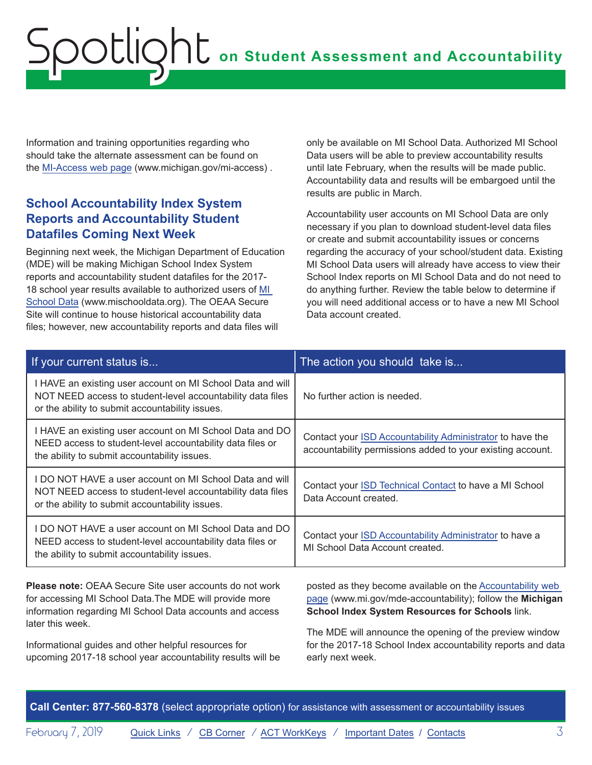<span id="page-2-0"></span>Information and training opportunities regarding who should take the alternate assessment can be found on the [MI-Access web page](http://www.michigan.gov/mi-access) (www.michigan.gov/mi-access) .

#### **School Accountability Index System Reports and Accountability Student Datafiles Coming Next Week**

Beginning next week, the Michigan Department of Education (MDE) will be making Michigan School Index System reports and accountability student datafiles for the 2017- 18 school year results available to authorized users of [MI](http://www.mischooldata.org)  [School Data](http://www.mischooldata.org) (www.mischooldata.org). The OEAA Secure Site will continue to house historical accountability data files; however, new accountability reports and data files will

only be available on MI School Data. Authorized MI School Data users will be able to preview accountability results until late February, when the results will be made public. Accountability data and results will be embargoed until the results are public in March.

Accountability user accounts on MI School Data are only necessary if you plan to download student-level data files or create and submit accountability issues or concerns regarding the accuracy of your school/student data. Existing MI School Data users will already have access to view their School Index reports on MI School Data and do not need to do anything further. Review the table below to determine if you will need additional access or to have a new MI School Data account created.

| If your current status is                                                                                                                                                   | The action you should take is                                                                                                 |
|-----------------------------------------------------------------------------------------------------------------------------------------------------------------------------|-------------------------------------------------------------------------------------------------------------------------------|
| I HAVE an existing user account on MI School Data and will<br>NOT NEED access to student-level accountability data files<br>or the ability to submit accountability issues. | No further action is needed.                                                                                                  |
| I HAVE an existing user account on MI School Data and DO<br>NEED access to student-level accountability data files or<br>the ability to submit accountability issues.       | Contact your ISD Accountability Administrator to have the<br>accountability permissions added to your existing account.       |
| I DO NOT HAVE a user account on MI School Data and will<br>NOT NEED access to student-level accountability data files<br>or the ability to submit accountability issues.    | Contact your ISD Technical Contact to have a MI School<br>Data Account created.                                               |
| I DO NOT HAVE a user account on MI School Data and DO<br>NEED access to student-level accountability data files or<br>the ability to submit accountability issues.          | Contact your ISD Accountability Administrator to have a<br>MI School Data Account created.                                    |
| Please note: OEAA Secure Site user accounts do not work<br>for accessing MI School Data.The MDE will provide more                                                           | posted as they become available on the Accountability web<br>page (www.mi.gov/mde-accountability): follow the <b>Michigan</b> |

for accessing MI School Data.The MDE will provide more information regarding MI School Data accounts and access later this week.

Informational guides and other helpful resources for upcoming 2017-18 school year accountability results will be

[page](http://www.mi.gov/mde-accountability) (www.mi.gov/mde-accountability); follow the **Michigan School Index System Resources for Schools** link.

The MDE will announce the opening of the preview window for the 2017-18 School Index accountability reports and data early next week.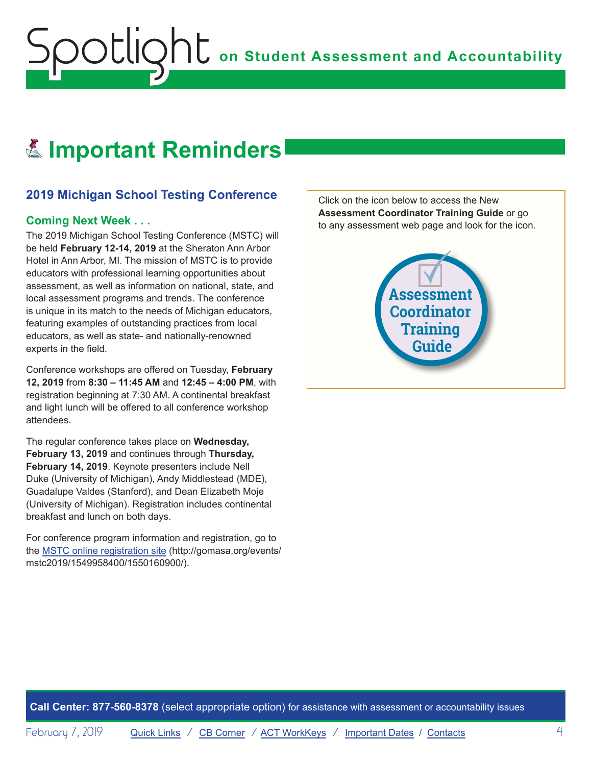## <span id="page-3-0"></span>Reminders **Important Reminders**

### **2019 Michigan School Testing Conference**

#### **Coming Next Week . . .**

The 2019 Michigan School Testing Conference (MSTC) will be held **February 12-14, 2019** at the Sheraton Ann Arbor Hotel in Ann Arbor, MI. The mission of MSTC is to provide educators with professional learning opportunities about assessment, as well as information on national, state, and local assessment programs and trends. The conference is unique in its match to the needs of Michigan educators, featuring examples of outstanding practices from local educators, as well as state- and nationally-renowned experts in the field.

Conference workshops are offered on Tuesday, **February 12, 2019** from **8:30 – 11:45 AM** and **12:45 – 4:00 PM**, with registration beginning at 7:30 AM. A continental breakfast and light lunch will be offered to all conference workshop attendees.

The regular conference takes place on **Wednesday, February 13, 2019** and continues through **Thursday, February 14, 2019**. Keynote presenters include Nell Duke (University of Michigan), Andy Middlestead (MDE), Guadalupe Valdes (Stanford), and Dean Elizabeth Moje (University of Michigan). Registration includes continental breakfast and lunch on both days.

For conference program information and registration, go to the [MSTC online registration site](http://gomasa.org/events/mstc2019/1549958400/1550160900/) (http://gomasa.org/events/ mstc2019/1549958400/1550160900/).

Click on the icon below to access the New **Assessment Coordinator Training Guide** or go to any assessment web page and look for the icon.

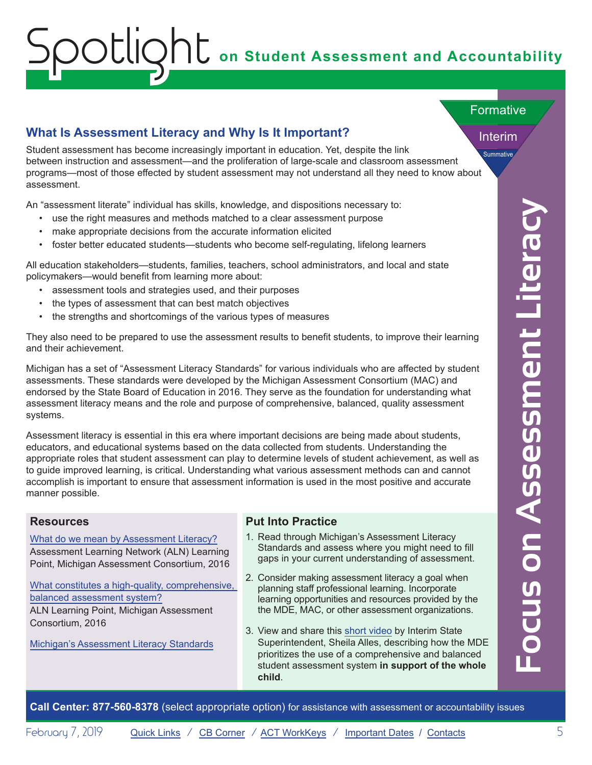#### <span id="page-4-0"></span>**What Is Assessment Literacy and Why Is It Important?**

Summative Student assessment has become increasingly important in education. Yet, despite the link between instruction and assessment—and the proliferation of large-scale and classroom assessment programs—most of those effected by student assessment may not understand all they need to know about assessment.

An "assessment literate" individual has skills, knowledge, and dispositions necessary to:

- use the right measures and methods matched to a clear assessment purpose
- make appropriate decisions from the accurate information elicited
- foster better educated students—students who become self-regulating, lifelong learners

All education stakeholders—students, families, teachers, school administrators, and local and state policymakers—would benefit from learning more about:

- assessment tools and strategies used, and their purposes
- the types of assessment that can best match objectives
- the strengths and shortcomings of the various types of measures

They also need to be prepared to use the assessment results to benefit students, to improve their learning and their achievement.

Michigan has a set of "Assessment Literacy Standards" for various individuals who are affected by student assessments. These standards were developed by the Michigan Assessment Consortium (MAC) and endorsed by the State Board of Education in 2016. They serve as the foundation for understanding what assessment literacy means and the role and purpose of comprehensive, balanced, quality assessment systems.

**Call Center:** Select a considerable and the source and proportions (excess approximate a select appropriate option) for a consider information of the accountability in the select approximate the sole and the sole and the Assessment literacy is essential in this era where important decisions are being made about students, educators, and educational systems based on the data collected from students. Understanding the appropriate roles that student assessment can play to determine levels of student achievement, as well as to guide improved learning, is critical. Understanding what various assessment methods can and cannot accomplish is important to ensure that assessment information is used in the most positive and accurate manner possible.

#### **Resources**

#### [What do we mean by Assessment Literacy?](https://www.michiganassessmentconsortium.org/wp-content/uploads/4-Dec16-2016_Dec_ALN-LEARNING_POINT_LITERACY-2-1.pdf) Assessment Learning Network (ALN) Learning Point, Michigan Assessment Consortium, 2016

[What constitutes a high-quality, comprehensive,](https://www.michiganassessmentconsortium.org/wp-content/uploads/3-Dec16-2016_Dec_ALN-LEARNING_POINT_BALANCED-2.pdf)  [balanced assessment system?](https://www.michiganassessmentconsortium.org/wp-content/uploads/3-Dec16-2016_Dec_ALN-LEARNING_POINT_BALANCED-2.pdf) ALN Learning Point, Michigan Assessment Consortium, 2016

[Michigan's Assessment Literacy Standards](https://www.michiganassessmentconsortium.org/assessment-literacy-standards/)

#### **Put Into Practice**

- 1. Read through Michigan's Assessment Literacy Standards and assess where you might need to fill gaps in your current understanding of assessment.
- 2. Consider making assessment literacy a goal when planning staff professional learning. Incorporate learning opportunities and resources provided by the the MDE, MAC, or other assessment organizations.
- 3. View and share this [short video](https://www.youtube.com/watch?v=p1D1uwzBseU) by Interim State Superintendent, Sheila Alles, describing how the MDE prioritizes the use of a comprehensive and balanced student assessment system **in support of the whole child**.

Interim

**Formative**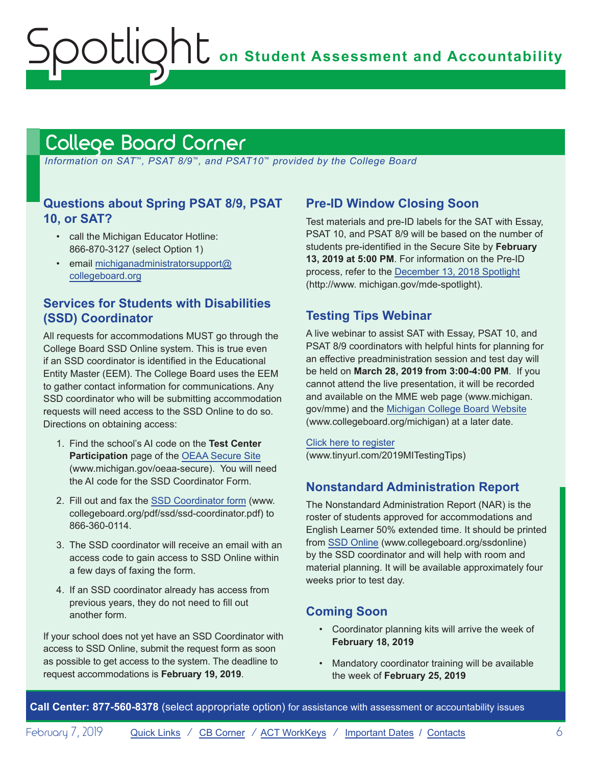**on Student Assessment and Accountability**

## <span id="page-5-1"></span>College Board Corner

<span id="page-5-0"></span>Spotlight

 *Information on SAT*™*, PSAT 8/9*™*, and PSAT10*™ *provided by the College Board*

#### **Questions about Spring PSAT 8/9, PSAT 10, or SAT?**

- call the Michigan Educator Hotline: 866-870-3127 (select Option 1)
- email [michiganadministratorsupport@](mailto:michiganadministratorsupport%40collegeboard.org?subject=) [collegeboard.org](mailto:michiganadministratorsupport%40collegeboard.org?subject=)

#### **Services for Students with Disabilities (SSD) Coordinator**

All requests for accommodations MUST go through the College Board SSD Online system. This is true even if an SSD coordinator is identified in the Educational Entity Master (EEM). The College Board uses the EEM to gather contact information for communications. Any SSD coordinator who will be submitting accommodation requests will need access to the SSD Online to do so. Directions on obtaining access:

- 1. Find the school's AI code on the **Test Center Participation** page of the [OEAA Secure Site](http://www.michigan.gov/oeaa-secure) (www.michigan.gov/oeaa-secure). You will need the AI code for the SSD Coordinator Form.
- 2. Fill out and fax the [SSD Coordinator form](http://www.collegeboard.org/pdf/ssd/ssd-coordinator.pdf) (www. collegeboard.org/pdf/ssd/ssd-coordinator.pdf) to 866-360-0114.
- 3. The SSD coordinator will receive an email with an access code to gain access to SSD Online within a few days of faxing the form.
- 4. If an SSD coordinator already has access from previous years, they do not need to fill out another form.

If your school does not yet have an SSD Coordinator with access to SSD Online, submit the request form as soon as possible to get access to the system. The deadline to request accommodations is **February 19, 2019**.

#### **Pre-ID Window Closing Soon**

Test materials and pre-ID labels for the SAT with Essay, PSAT 10, and PSAT 8/9 will be based on the number of students pre-identified in the Secure Site by **February 13, 2019 at 5:00 PM**. For information on the Pre-ID process, refer to the [December 13, 2018 Spotlight](https://www.michigan.gov/documents/mde/Spotlight_12-13-18_640839_7.pdf) (http://www. michigan.gov/mde-spotlight).

#### **Testing Tips Webinar**

A live webinar to assist SAT with Essay, PSAT 10, and PSAT 8/9 coordinators with helpful hints for planning for an effective preadministration session and test day will be held on **March 28, 2019 from 3:00-4:00 PM**. If you cannot attend the live presentation, it will be recorded and available on the MME web page (www.michigan. gov/mme) and the [Michigan College Board Website](http://www.collegeboard.org/michigan) (www.collegeboard.org/michigan) at a later date.

[Click here to register](http://www.tinyurl.com/2019MITestingTips) (www.tinyurl.com/2019MITestingTips)

#### **Nonstandard Administration Report**

The Nonstandard Administration Report (NAR) is the roster of students approved for accommodations and English Learner 50% extended time. It should be printed from [SSD Online](http://www.collegeboard.org/ssdonline) (www.collegeboard.org/ssdonline) by the SSD coordinator and will help with room and material planning. It will be available approximately four weeks prior to test day.

#### **Coming Soon**

- Coordinator planning kits will arrive the week of **February 18, 2019**
- Mandatory coordinator training will be available the week of **February 25, 2019**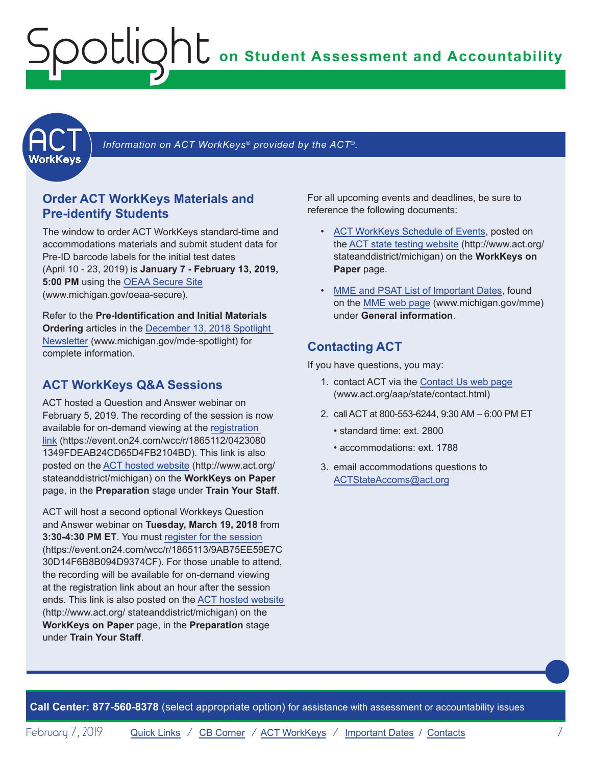<span id="page-6-0"></span>

Information on ACT WorkKeys<sup>®</sup> provided by the ACT<sup>®</sup>.

#### **Order ACT WorkKeys Materials and Pre-identify Students**

The window to order ACT WorkKeys standard-time and accommodations materials and submit student data for Pre-ID barcode labels for the initial test dates (April 10 - 23, 2019) is **January 7 - February 13, 2019, 5:00 PM** using the [OEAA Secure Site](http://www.michigan.gov/oeaa-secure) (www.michigan.gov/oeaa-secure).

<span id="page-6-1"></span>Refer to the **Pre-Identification and Initial Materials Ordering** articles in the [December 13, 2018 Spotlight](https://www.michigan.gov/documents/mde/Spotlight_12-13-18_640839_7.pdf)  [Newsletter](https://www.michigan.gov/documents/mde/Spotlight_12-13-18_640839_7.pdf) (www.michigan.gov/mde-spotlight) for complete information.

### **ACT WorkKeys Q&A Sessions**

ACT hosted a Question and Answer webinar on February 5, 2019. The recording of the session is now available for on-demand viewing at the [registration](https://event.on24.com/wcc/r/1865112/04230801349FDEAB24CD65D4FB2104BD)  [link](https://event.on24.com/wcc/r/1865112/04230801349FDEAB24CD65D4FB2104BD) (https://event.on24.com/wcc/r/1865112/0423080 1349FDEAB24CD65D4FB2104BD). This link is also posted on the [ACT hosted website](http://www.act.org/stateanddistrict/michigan) (http://www.act.org/ stateanddistrict/michigan) on the **WorkKeys on Paper** page, in the **Preparation** stage under **Train Your Staff**.

ACT will host a second optional Workkeys Question and Answer webinar on **Tuesday, March 19, 2018** from **3:30-4:30 PM ET**. You must [register for the session](https://event.on24.com/wcc/r/1865113/9AB75EE59E7C30D14F6B8B094D9374CF) (https://event.on24.com/wcc/r/1865113/9AB75EE59E7C 30D14F6B8B094D9374CF). For those unable to attend, the recording will be available for on-demand viewing at the registration link about an hour after the session ends. This link is also posted on the [ACT hosted website](http://www.act.org/stateanddistrict/michigan) (http://www.act.org/ stateanddistrict/michigan) on the **WorkKeys on Paper** page, in the **Preparation** stage under **Train Your Staff**.

For all upcoming events and deadlines, be sure to reference the following documents:

- [ACT WorkKeys Schedule of Events](http://www.act.org/content/dam/act/unsecured/documents/ScheduleofEventsWorkKeys-MI.pdf), posted on the [ACT state testing website](http://www.act.org/stateanddistrict/michigan) (http://www.act.org/ stateanddistrict/michigan) on the **WorkKeys on Paper** page.
- [MME and PSAT List of Important Dates](https://www.michigan.gov/documents/mde/MME_List_of_Important_Dates_634790_7.pdf), found on the [MME web page](www.michigan.gov/mme) (www.michigan.gov/mme) under **General information**.

### **Contacting ACT**

If you have questions, you may:

- 1. contact ACT via the [Contact Us web page](http://www.act.org/aap/state/contact.html) ([www.act.org/aap/state/contact.html\)](www.act.org/aap/state/contact.html)
- 2. call ACT at 800-553-6244, 9:30 AM 6:00 PM ET
	- standard time: ext. 2800
	- accommodations: ext. 1788
- 3. email accommodations questions to [ACTStateAccoms@act.org](mailto:ACTStateAccoms%40act.org?subject=)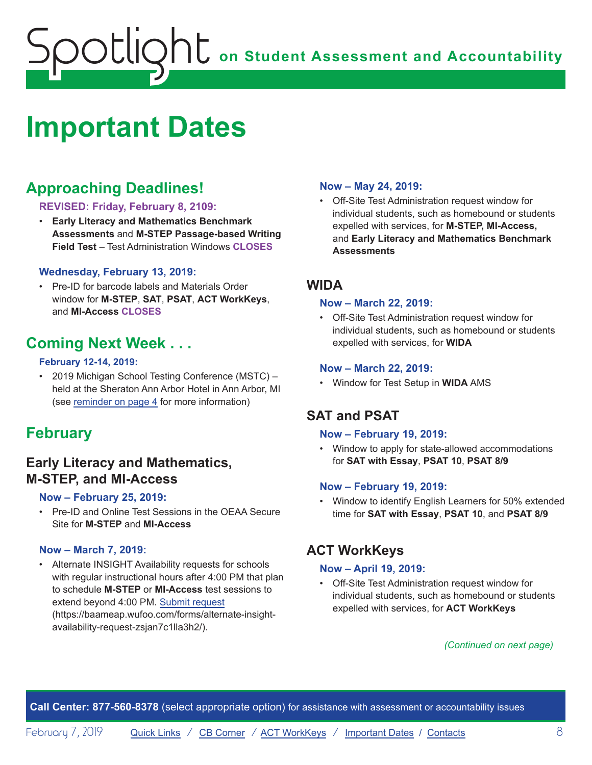## <span id="page-7-1"></span><span id="page-7-0"></span>**Important Dates**

## **Approaching Deadlines!**

#### **REVISED: Friday, February 8, 2109:**

• **Early Literacy and Mathematics Benchmark Assessments** and **M-STEP Passage-based Writing Field Test** – Test Administration Windows **CLOSES**

#### **Wednesday, February 13, 2019:**

• Pre-ID for barcode labels and Materials Order window for **M-STEP**, **SAT**, **PSAT**, **ACT WorkKeys**, and **MI-Access CLOSES**

## **Coming Next Week . . .**

#### **February 12-14, 2019:**

• 2019 Michigan School Testing Conference (MSTC) – held at the Sheraton Ann Arbor Hotel in Ann Arbor, MI (see [reminder on page 4](#page-3-0) for more information)

## **February**

### **Early Literacy and Mathematics, M-STEP, and MI-Access**

#### **Now – February 25, 2019:**

• Pre-ID and Online Test Sessions in the OEAA Secure Site for **M-STEP** and **MI-Access**

#### **Now – March 7, 2019:**

• Alternate INSIGHT Availability requests for schools with regular instructional hours after 4:00 PM that plan to schedule **M-STEP** or **MI-Access** test sessions to extend beyond 4:00 PM. [Submit request](https://baameap.wufoo.com/forms/alternate-insight-availability-request-zsjan7c1lla3h2/) (https://baameap.wufoo.com/forms/alternate-insightavailability-request-zsjan7c1lla3h2/).

#### **Now – May 24, 2019:**

• Off-Site Test Administration request window for individual students, such as homebound or students expelled with services, for **M-STEP, MI-Access,**  and **Early Literacy and Mathematics Benchmark Assessments**

#### **WIDA**

#### **Now – March 22, 2019:**

• Off-Site Test Administration request window for individual students, such as homebound or students expelled with services, for **WIDA**

#### **Now – March 22, 2019:**

• Window for Test Setup in **WIDA** AMS

### **SAT and PSAT**

#### **Now – February 19, 2019:**

• Window to apply for state-allowed accommodations for **SAT with Essay**, **PSAT 10**, **PSAT 8/9**

#### **Now – February 19, 2019:**

• Window to identify English Learners for 50% extended time for **SAT with Essay**, **PSAT 10**, and **PSAT 8/9**

#### **ACT WorkKeys**

#### **Now – April 19, 2019:**

• Off-Site Test Administration request window for individual students, such as homebound or students expelled with services, for **ACT WorkKeys**

#### *(Continued on next page)*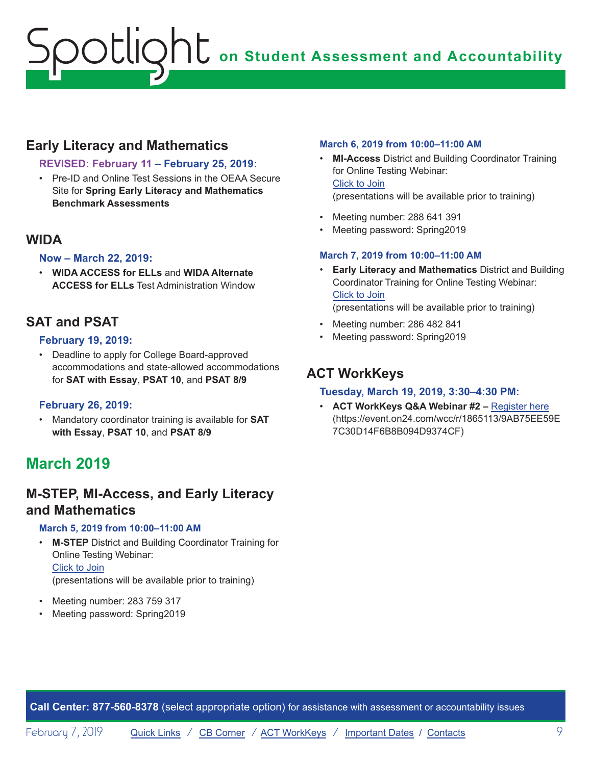## **Early Literacy and Mathematics**

#### **REVISED: February 11 – February 25, 2019:**

• Pre-ID and Online Test Sessions in the OEAA Secure Site for **Spring Early Literacy and Mathematics Benchmark Assessments**

#### **WIDA**

#### **Now – March 22, 2019:**

• **WIDA ACCESS for ELLs** and **WIDA Alternate ACCESS for ELLs** Test Administration Window

### **SAT and PSAT**

#### **February 19, 2019:**

• Deadline to apply for College Board-approved accommodations and state-allowed accommodations for **SAT with Essay**, **PSAT 10**, and **PSAT 8/9**

#### **February 26, 2019:**

• Mandatory coordinator training is available for **SAT with Essay**, **PSAT 10**, and **PSAT 8/9**

## **March 2019**

### **M-STEP, MI-Access, and Early Literacy and Mathematics**

#### **March 5, 2019 from 10:00–11:00 AM**

- **M-STEP** District and Building Coordinator Training for Online Testing Webinar: Click to Join (presentations will be available prior to training)
- Meeting number: 283 759 317
- Meeting password: Spring2019

#### **March 6, 2019 from 10:00–11:00 AM**

- **MI-Access** District and Building Coordinator Training for Online Testing Webinar: Click to Join (presentations will be available prior to training)
- Meeting number: 288 641 391
- Meeting password: Spring2019

#### **March 7, 2019 from 10:00–11:00 AM**

- **Early Literacy and Mathematics** District and Building Coordinator Training for Online Testing Webinar: Click to Join (presentations will be available prior to training)
- Meeting number: 286 482 841
- Meeting password: Spring2019

## **ACT WorkKeys**

#### **Tuesday, March 19, 2019, 3:30–4:30 PM:**

• **ACT WorkKeys Q&A Webinar #2 –** [Register here](https://event.on24.com/wcc/r/1865113/9AB75EE59E7C30D14F6B8B094D9374CF) (https://event.on24.com/wcc/r/1865113/9AB75EE59E 7C30D14F6B8B094D9374CF)